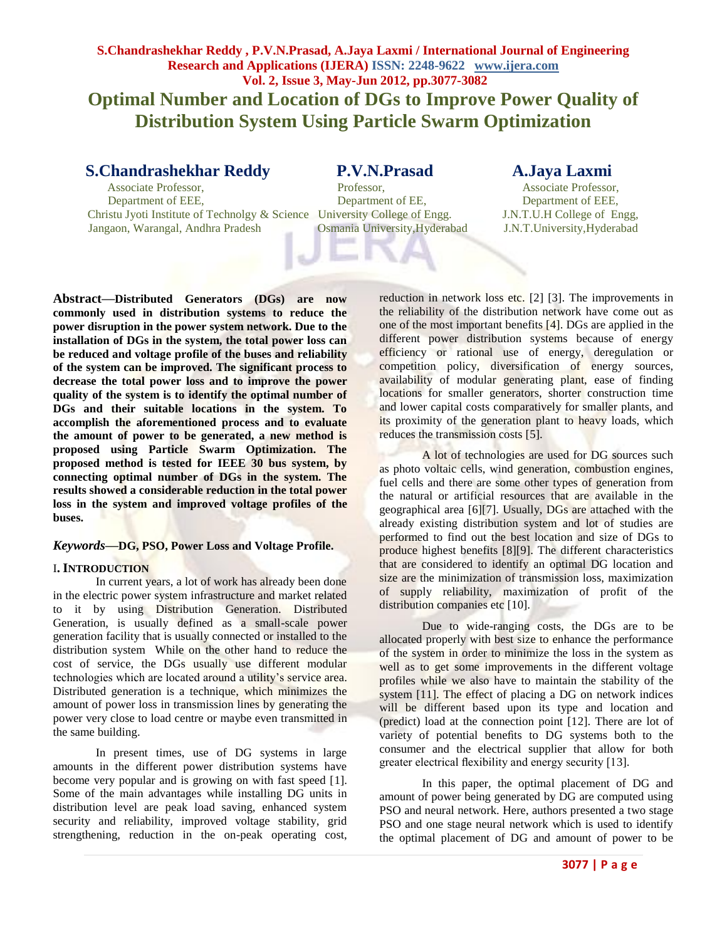# **S.Chandrashekhar Reddy , P.V.N.Prasad, A.Jaya Laxmi / International Journal of Engineering Research and Applications (IJERA) ISSN: 2248-9622 www.ijera.com Vol. 2, Issue 3, May-Jun 2012, pp.3077-3082 Optimal Number and Location of DGs to Improve Power Quality of Distribution System Using Particle Swarm Optimization**

# **S.Chandrashekhar Reddy P.V.N.Prasad A.Jaya Laxmi**<br>Associate Professor, Professor, Associate Professor,

Associate Professor, Professor, Associate Professor, Department of EEE,<br>
Department of EEE,<br>
Department of EEE,<br>
Department of EEE, Christu Jyoti Institute of Technolgy & Science University College of Engg. J.N.T.U.H College of Engg, Jangaon, Warangal, Andhra Pradesh Osmania University,Hyderabad J.N.T.University,Hyderabad

**Abstract—Distributed Generators (DGs) are now commonly used in distribution systems to reduce the power disruption in the power system network. Due to the installation of DGs in the system, the total power loss can be reduced and voltage profile of the buses and reliability of the system can be improved. The significant process to decrease the total power loss and to improve the power quality of the system is to identify the optimal number of DGs and their suitable locations in the system. To accomplish the aforementioned process and to evaluate the amount of power to be generated, a new method is proposed using Particle Swarm Optimization. The proposed method is tested for IEEE 30 bus system, by connecting optimal number of DGs in the system. The results showed a considerable reduction in the total power loss in the system and improved voltage profiles of the buses.**

### *Keywords—***DG, PSO, Power Loss and Voltage Profile.**

### I**. INTRODUCTION**

In current years, a lot of work has already been done in the electric power system infrastructure and market related to it by using Distribution Generation. Distributed Generation, is usually defined as a small-scale power generation facility that is usually connected or installed to the distribution system While on the other hand to reduce the cost of service, the DGs usually use different modular technologies which are located around a utility's service area. Distributed generation is a technique, which minimizes the amount of power loss in transmission lines by generating the power very close to load centre or maybe even transmitted in the same building.

In present times, use of DG systems in large amounts in the different power distribution systems have become very popular and is growing on with fast speed [1]. Some of the main advantages while installing DG units in distribution level are peak load saving, enhanced system security and reliability, improved voltage stability, grid strengthening, reduction in the on-peak operating cost, reduction in network loss etc. [2] [3]. The improvements in the reliability of the distribution network have come out as one of the most important benefits [4]. DGs are applied in the different power distribution systems because of energy efficiency or rational use of energy, deregulation or competition policy, diversification of energy sources, availability of modular generating plant, ease of finding locations for smaller generators, shorter construction time and lower capital costs comparatively for smaller plants, and its proximity of the generation plant to heavy loads, which reduces the transmission costs [5].

A lot of technologies are used for DG sources such as photo voltaic cells, wind generation, combustion engines, fuel cells and there are some other types of generation from the natural or artificial resources that are available in the geographical area [6][7]. Usually, DGs are attached with the already existing distribution system and lot of studies are performed to find out the best location and size of DGs to produce highest benefits [8][9]. The different characteristics that are considered to identify an optimal DG location and size are the minimization of transmission loss, maximization of supply reliability, maximization of profit of the distribution companies etc [10].

Due to wide-ranging costs, the DGs are to be allocated properly with best size to enhance the performance of the system in order to minimize the loss in the system as well as to get some improvements in the different voltage profiles while we also have to maintain the stability of the system [11]. The effect of placing a DG on network indices will be different based upon its type and location and (predict) load at the connection point [12]. There are lot of variety of potential benefits to DG systems both to the consumer and the electrical supplier that allow for both greater electrical flexibility and energy security [13].

In this paper, the optimal placement of DG and amount of power being generated by DG are computed using PSO and neural network. Here, authors presented a two stage PSO and one stage neural network which is used to identify the optimal placement of DG and amount of power to be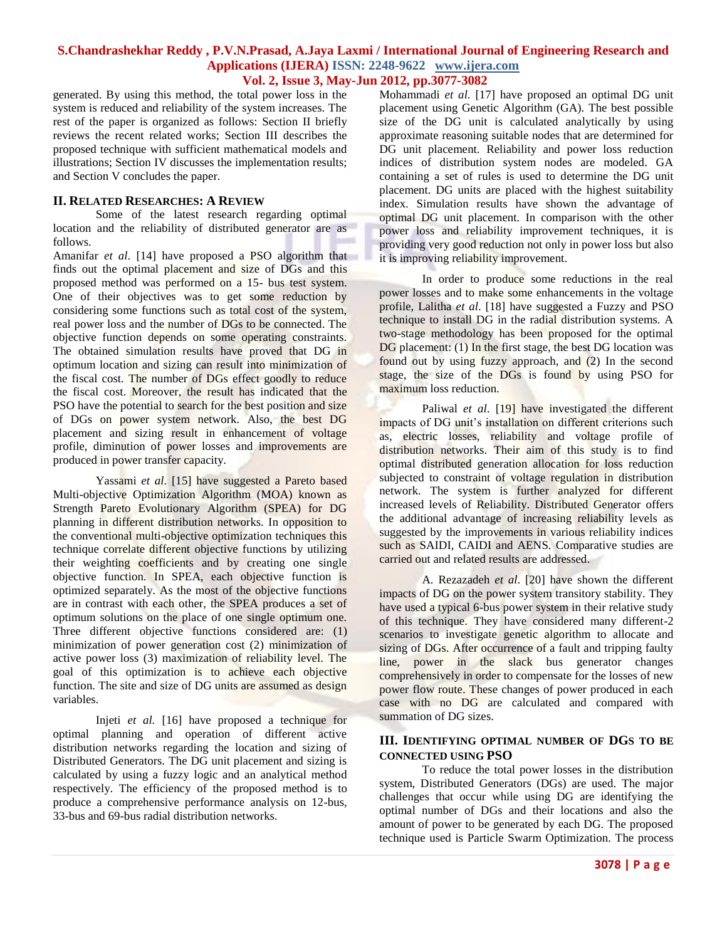generated. By using this method, the total power loss in the system is reduced and reliability of the system increases. The rest of the paper is organized as follows: Section II briefly reviews the recent related works; Section III describes the proposed technique with sufficient mathematical models and illustrations; Section IV discusses the implementation results; and Section V concludes the paper.

#### **II. RELATED RESEARCHES: A REVIEW**

Some of the latest research regarding optimal location and the reliability of distributed generator are as follows.

Amanifar *et al*. [14] have proposed a PSO algorithm that finds out the optimal placement and size of DGs and this proposed method was performed on a 15- bus test system. One of their objectives was to get some reduction by considering some functions such as total cost of the system, real power loss and the number of DGs to be connected. The objective function depends on some operating constraints. The obtained simulation results have proved that DG in optimum location and sizing can result into minimization of the fiscal cost. The number of DGs effect goodly to reduce the fiscal cost. Moreover, the result has indicated that the PSO have the potential to search for the best position and size of DGs on power system network. Also, the best DG placement and sizing result in enhancement of voltage profile, diminution of power losses and improvements are produced in power transfer capacity.

Yassami *et al*. [15] have suggested a Pareto based Multi-objective Optimization Algorithm (MOA) known as Strength Pareto Evolutionary Algorithm (SPEA) for DG planning in different distribution networks. In opposition to the conventional multi-objective optimization techniques this technique correlate different objective functions by utilizing their weighting coefficients and by creating one single objective function. In SPEA, each objective function is optimized separately. As the most of the objective functions are in contrast with each other, the SPEA produces a set of optimum solutions on the place of one single optimum one. Three different objective functions considered are: (1) minimization of power generation cost (2) minimization of active power loss (3) maximization of reliability level. The goal of this optimization is to achieve each objective function. The site and size of DG units are assumed as design variables.

Injeti *et al.* [16] have proposed a technique for optimal planning and operation of different active distribution networks regarding the location and sizing of Distributed Generators. The DG unit placement and sizing is calculated by using a fuzzy logic and an analytical method respectively. The efficiency of the proposed method is to produce a comprehensive performance analysis on 12-bus, 33-bus and 69-bus radial distribution networks.

Mohammadi *et al.* [17] have proposed an optimal DG unit placement using Genetic Algorithm (GA). The best possible size of the DG unit is calculated analytically by using approximate reasoning suitable nodes that are determined for DG unit placement. Reliability and power loss reduction indices of distribution system nodes are modeled. GA containing a set of rules is used to determine the DG unit placement. DG units are placed with the highest suitability index. Simulation results have shown the advantage of optimal DG unit placement. In comparison with the other power loss and reliability improvement techniques, it is providing very good reduction not only in power loss but also it is improving reliability improvement.

In order to produce some reductions in the real power losses and to make some enhancements in the voltage profile, Lalitha *et al*. [18] have suggested a Fuzzy and PSO technique to install DG in the radial distribution systems. A two-stage methodology has been proposed for the optimal DG placement: (1) In the first stage, the best DG location was found out by using fuzzy approach, and (2) In the second stage, the size of the DGs is found by using PSO for maximum loss reduction.

Paliwal *et al.* [19] have investigated the different impacts of DG unit's installation on different criterions such as, electric losses, reliability and voltage profile of distribution networks. Their aim of this study is to find optimal distributed generation allocation for loss reduction subjected to constraint of voltage regulation in distribution network. The system is further analyzed for different increased levels of Reliability. Distributed Generator offers the additional advantage of increasing reliability levels as suggested by the improvements in various reliability indices such as SAIDI, CAIDI and AENS. Comparative studies are carried out and related results are addressed.

A. Rezazadeh *et al*. [20] have shown the different impacts of DG on the power system transitory stability. They have used a typical 6-bus power system in their relative study of this technique. They have considered many different-2 scenarios to investigate genetic algorithm to allocate and sizing of DGs. After occurrence of a fault and tripping faulty line, power in the slack bus generator changes comprehensively in order to compensate for the losses of new power flow route. These changes of power produced in each case with no DG are calculated and compared with summation of DG sizes.

#### **III. IDENTIFYING OPTIMAL NUMBER OF DGS TO BE CONNECTED USING PSO**

To reduce the total power losses in the distribution system, Distributed Generators (DGs) are used. The major challenges that occur while using DG are identifying the optimal number of DGs and their locations and also the amount of power to be generated by each DG. The proposed technique used is Particle Swarm Optimization. The process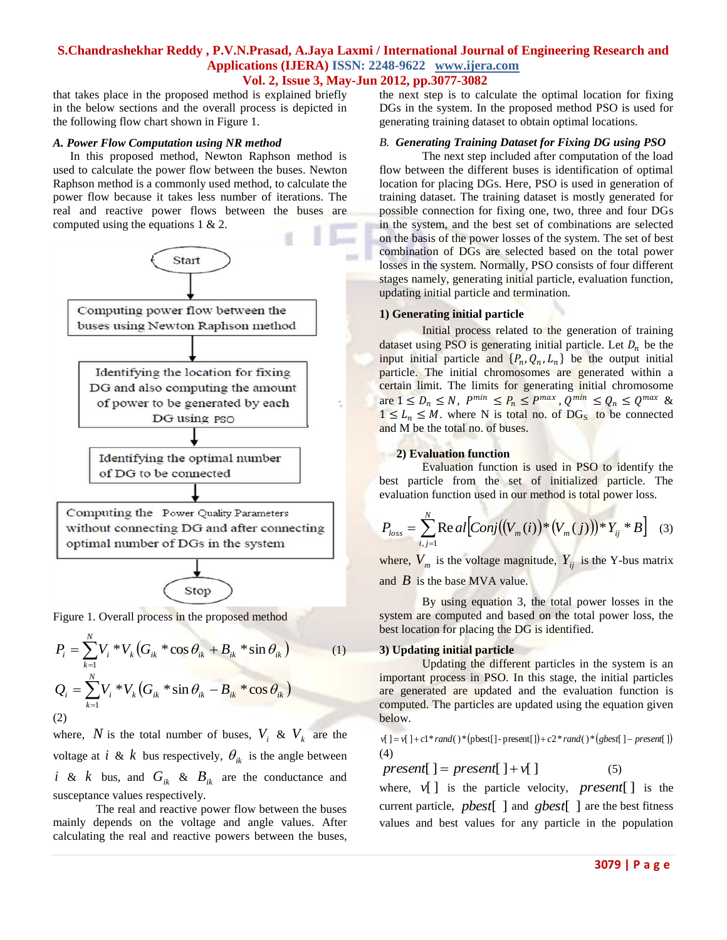that takes place in the proposed method is explained briefly in the below sections and the overall process is depicted in the following flow chart shown in Figure 1.

#### *A. Power Flow Computation using NR method*

In this proposed method, Newton Raphson method is used to calculate the power flow between the buses. Newton Raphson method is a commonly used method, to calculate the power flow because it takes less number of iterations. The real and reactive power flows between the buses are computed using the equations 1 & 2.



Figure 1. Overall process in the proposed method

$$
P_{i} = \sum_{k=1}^{N} V_{i} * V_{k} (G_{ik} * \cos \theta_{ik} + B_{ik} * \sin \theta_{ik})
$$
(1)  

$$
Q_{i} = \sum_{k=1}^{N} V_{i} * V_{k} (G_{ik} * \sin \theta_{ik} - B_{ik} * \cos \theta_{ik})
$$
(2)

Stop

where, N is the total number of buses,  $V_i$  &  $V_k$  are the voltage at *i* & *k* bus respectively,  $\theta_{ik}$  is the angle between *i* & *k* bus, and  $G_{ik}$  &  $B_{ik}$  are the conductance and susceptance values respectively.

The real and reactive power flow between the buses mainly depends on the voltage and angle values. After calculating the real and reactive powers between the buses, the next step is to calculate the optimal location for fixing DGs in the system. In the proposed method PSO is used for generating training dataset to obtain optimal locations.

### *B. Generating Training Dataset for Fixing DG using PSO*

The next step included after computation of the load flow between the different buses is identification of optimal location for placing DGs. Here, PSO is used in generation of training dataset. The training dataset is mostly generated for possible connection for fixing one, two, three and four DGs in the system, and the best set of combinations are selected on the basis of the power losses of the system. The set of best combination of DGs are selected based on the total power losses in the system. Normally, PSO consists of four different stages namely, generating initial particle, evaluation function, updating initial particle and termination.

#### **1) Generating initial particle**

Initial process related to the generation of training dataset using PSO is generating initial particle. Let  $D_n$  be the input initial particle and  $\{P_n, Q_n, L_n\}$  be the output initial particle. The initial chromosomes are generated within a certain limit. The limits for generating initial chromosome are  $1 \leq D_n \leq N$ ,  $P^{min} \leq P_n \leq P^{max}$ ,  $Q^{min} \leq Q_n \leq Q^{max}$  &  $1 \leq L_n \leq M$ . where N is total no. of DG<sub>S</sub> to be connected and M be the total no. of buses.

#### **2) Evaluation function**

Evaluation function is used in PSO to identify the best particle from the set of initialized particle. The evaluation function used in our method is total power loss.

$$
P_{loss} = \sum_{i,j=1}^{N} \text{Re} \, al \Big[Conj\big((V_m(i))^* \big((V_m(j)\big))^* Y_{ij}^* \, B\Big] \tag{3}
$$

where,  $V_m$  is the voltage magnitude,  $Y_{ij}$  is the Y-bus matrix and  $\vec{B}$  is the base MVA value.

By using equation 3, the total power losses in the system are computed and based on the total power loss, the best location for placing the DG is identified.

#### **3) Updating initial particle**

Updating the different particles in the system is an important process in PSO. In this stage, the initial particles are generated are updated and the evaluation function is computed. The particles are updated using the equation given below.

 $\nu$ [] =  $\nu$ [] +  $c1$ \**rand*()\*(pbest[] - present[]) +  $c2$ \**rand*()\*(*gbest*[] - *present*[]) (4)

*present* $[$   $] = present$   $[$   $] + v$   $[$   $]$  (5)

where,  $v[$  is the particle velocity, *present*[] is the current particle, *pbest*[ ] and *gbest*[ ] are the best fitness values and best values for any particle in the population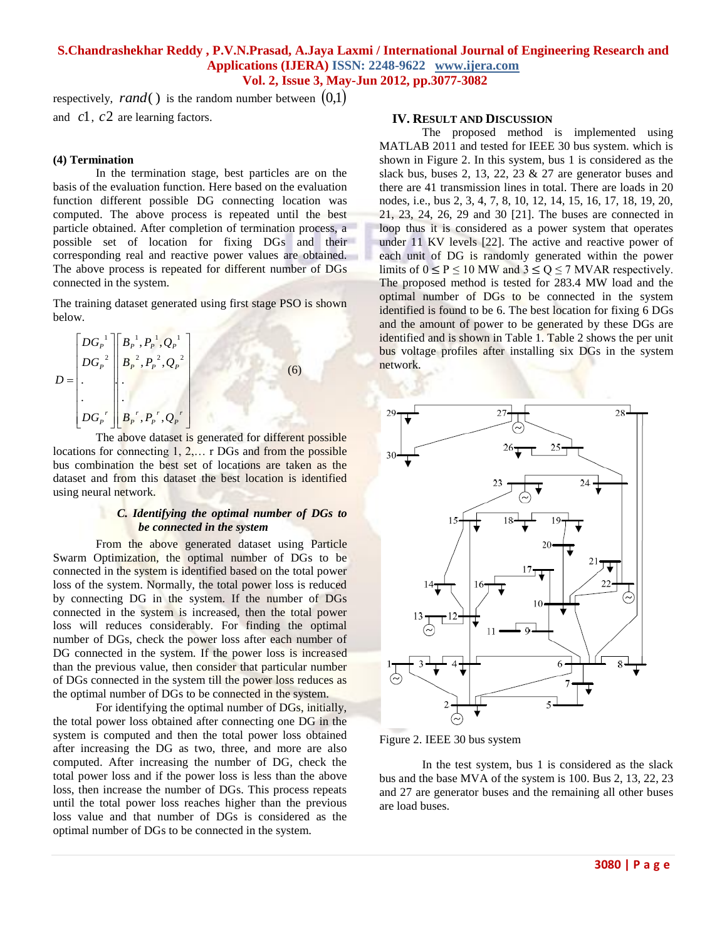respectively,  $rand()$  is the random number between  $(0,1)$ and *c*1, *c*2 are learning factors.

#### **(4) Termination**

In the termination stage, best particles are on the basis of the evaluation function. Here based on the evaluation function different possible DG connecting location was computed. The above process is repeated until the best particle obtained. After completion of termination process, a possible set of location for fixing DGs and their corresponding real and reactive power values are obtained. The above process is repeated for different number of DGs connected in the system.

The training dataset generated using first stage PSO is shown below.

$$
D = \begin{bmatrix} DG_{P}^{-1} \ B_{P}^{-1}, P_{P}^{-1}, Q_{P}^{-1} \ B_{P}^{-2}, P_{P}^{-2}, Q_{P}^{-2} \ \vdots \ B_{P}^{-1}, P_{P}^{-1}, Q_{P}^{-1} \ B_{P}^{-1}, P_{P}^{-1}, Q_{P}^{-1} \end{bmatrix}
$$
(6)

The above dataset is generated for different possible locations for connecting 1, 2,… r DGs and from the possible bus combination the best set of locations are taken as the dataset and from this dataset the best location is identified using neural network.

#### *C. Identifying the optimal number of DGs to be connected in the system*

From the above generated dataset using Particle Swarm Optimization, the optimal number of DGs to be connected in the system is identified based on the total power loss of the system. Normally, the total power loss is reduced by connecting DG in the system. If the number of DGs connected in the system is increased, then the total power loss will reduces considerably. For finding the optimal number of DGs, check the power loss after each number of DG connected in the system. If the power loss is increased than the previous value, then consider that particular number of DGs connected in the system till the power loss reduces as the optimal number of DGs to be connected in the system.

For identifying the optimal number of DGs, initially, the total power loss obtained after connecting one DG in the system is computed and then the total power loss obtained after increasing the DG as two, three, and more are also computed. After increasing the number of DG, check the total power loss and if the power loss is less than the above loss, then increase the number of DGs. This process repeats until the total power loss reaches higher than the previous loss value and that number of DGs is considered as the optimal number of DGs to be connected in the system.

#### **IV. RESULT AND DISCUSSION**

The proposed method is implemented using MATLAB 2011 and tested for IEEE 30 bus system. which is shown in Figure 2. In this system, bus 1 is considered as the slack bus, buses 2, 13, 22, 23 & 27 are generator buses and there are 41 transmission lines in total. There are loads in 20 nodes, i.e., bus 2, 3, 4, 7, 8, 10, 12, 14, 15, 16, 17, 18, 19, 20, 21, 23, 24, 26, 29 and 30 [21]. The buses are connected in loop thus it is considered as a power system that operates under 11 KV levels [22]. The active and reactive power of each unit of DG is randomly generated within the power limits of  $0 \le P \le 10$  MW and  $3 \le Q \le 7$  MVAR respectively. The proposed method is tested for 283.4 MW load and the optimal number of DGs to be connected in the system identified is found to be 6. The best location for fixing 6 DGs and the amount of power to be generated by these DGs are identified and is shown in Table 1. Table 2 shows the per unit bus voltage profiles after installing six DGs in the system network.



Figure 2. IEEE 30 bus system

In the test system, bus 1 is considered as the slack bus and the base MVA of the system is 100. Bus 2, 13, 22, 23 and 27 are generator buses and the remaining all other buses are load buses.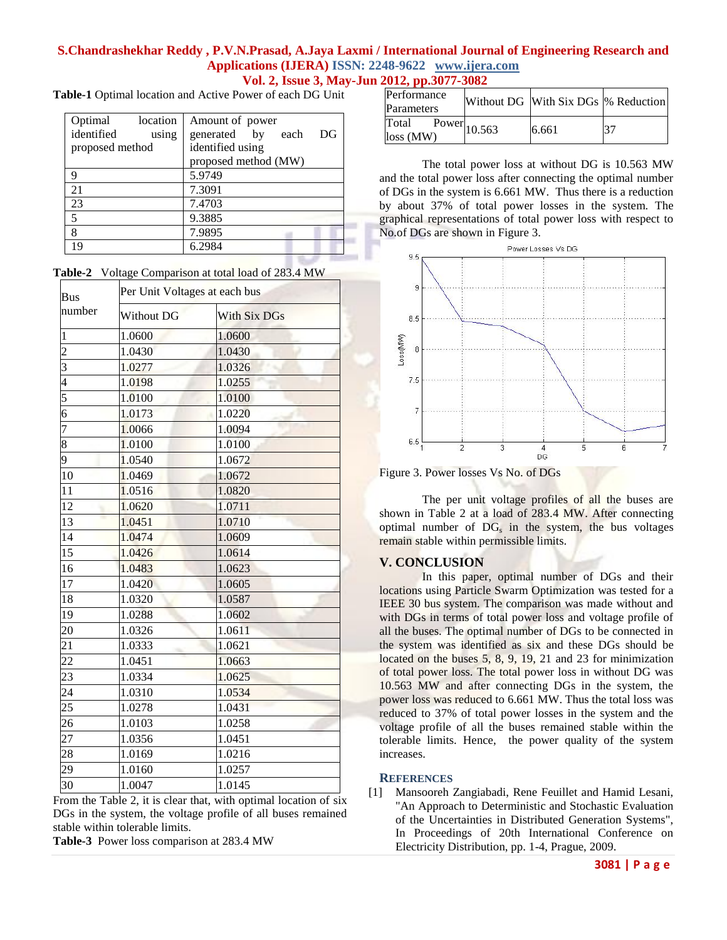# **S.Chandrashekhar Reddy , P.V.N.Prasad, A.Jaya Laxmi / International Journal of Engineering Research and Applications (IJERA) ISSN: 2248-9622 www.ijera.com**

**Vol. 2, Issue 3, May-Jun 2012, pp.3077-3082**

m.

| Table-1 Optimal location and Active Power of each DG Unit |  |  |
|-----------------------------------------------------------|--|--|
|-----------------------------------------------------------|--|--|

| Optimal         | location | Amount of power                     |  |  |
|-----------------|----------|-------------------------------------|--|--|
| identified      | using    | $_{\rm DG}$<br>generated by<br>each |  |  |
| proposed method |          | identified using                    |  |  |
|                 |          | proposed method (MW)                |  |  |
| 9               |          | 5.9749                              |  |  |
| 21              |          | 7.3091                              |  |  |
| 23              |          | 7.4703                              |  |  |
| 5               |          | 9.3885                              |  |  |
| 8               |          | 7.9895                              |  |  |
| 19              |          | 6.2984                              |  |  |
|                 |          |                                     |  |  |

|  | Table-2 Voltage Comparison at total load of 283.4 MW |
|--|------------------------------------------------------|
|--|------------------------------------------------------|

| <b>Bus</b>       | Per Unit Voltages at each bus |                     |  |
|------------------|-------------------------------|---------------------|--|
| number           | <b>Without DG</b>             | <b>With Six DGs</b> |  |
| $\mathbf{1}$     | 1.0600                        | 1.0600              |  |
| $\overline{c}$   | 1.0430                        | 1.0430              |  |
| $\overline{3}$   | 1.0277                        | 1.0326              |  |
| $\overline{4}$   | 1.0198                        | 1.0255              |  |
| 5                | 1.0100                        | 1.0100              |  |
| $\overline{6}$   | 1.0173                        | 1.0220              |  |
| 7                | 1.0066                        | 1.0094              |  |
| 8                | 1.0100                        | 1.0100              |  |
| 9                | 1.0540                        | 1.0672              |  |
| 10               | 1.0469                        | 1.0672              |  |
| 11               | 1.0516                        | 1.0820              |  |
| 12               | 1.0620                        | 1.0711              |  |
| $\overline{13}$  | 1.0451                        | 1.0710              |  |
| 14               | 1.0474                        | 1.0609              |  |
| $\overline{15}$  | 1.0426                        | 1.0614              |  |
| 16               | 1.0483                        | 1.0623              |  |
| 17               | 1.0420                        | 1.0605              |  |
| 18               | 1.0320                        | 1.0587              |  |
| 19               | 1.0288                        | 1.0602              |  |
| 20               | 1.0326                        | 1.0611              |  |
| 21               | 1.0333                        | 1.0621              |  |
| $\overline{22}$  | 1.0451                        | 1.0663              |  |
| $\frac{2}{3}$    | 1.0334                        | 1.0625              |  |
| 24               | 1.0310                        | 1.0534              |  |
| $25\overline{)}$ | 1.0278                        | 1.0431              |  |
| 26               | 1.0103                        | 1.0258              |  |
| 27               | 1.0356                        | 1.0451              |  |
| 28               | 1.0169                        | 1.0216              |  |
| 29               | 1.0160                        | 1.0257              |  |
| 30               | 1.0047                        | 1.0145              |  |

From the Table 2, it is clear that, with optimal location of six DGs in the system, the voltage profile of all buses remained stable within tolerable limits.

**Table-3** Power loss comparison at 283.4 MW

| Performance<br>Parameters |                                  | Without DG With Six DGs \% Reduction |  |
|---------------------------|----------------------------------|--------------------------------------|--|
| Total<br>$loss$ (MW)      | $\overline{\text{Power}}$ 10.563 | 6.661                                |  |

The total power loss at without DG is 10.563 MW and the total power loss after connecting the optimal number of DGs in the system is 6.661 MW. Thus there is a reduction by about 37% of total power losses in the system. The graphical representations of total power loss with respect to No.of DGs are shown in Figure 3.



Figure 3. Power losses Vs No. of DGs

The per unit voltage profiles of all the buses are shown in Table 2 at a load of 283.4 MW. After connecting optimal number of  $DG_s$  in the system, the bus voltages remain stable within permissible limits.

#### **V. CONCLUSION**

In this paper, optimal number of DGs and their locations using Particle Swarm Optimization was tested for a IEEE 30 bus system. The comparison was made without and with DGs in terms of total power loss and voltage profile of all the buses. The optimal number of DGs to be connected in the system was identified as six and these DGs should be located on the buses 5, 8, 9, 19, 21 and 23 for minimization of total power loss. The total power loss in without DG was 10.563 MW and after connecting DGs in the system, the power loss was reduced to 6.661 MW. Thus the total loss was reduced to 37% of total power losses in the system and the voltage profile of all the buses remained stable within the tolerable limits. Hence, the power quality of the system increases.

#### **REFERENCES**

[1] Mansooreh Zangiabadi, Rene Feuillet and Hamid Lesani, "An Approach to Deterministic and Stochastic Evaluation of the Uncertainties in Distributed Generation Systems", In Proceedings of 20th International Conference on Electricity Distribution, pp. 1-4, Prague, 2009.